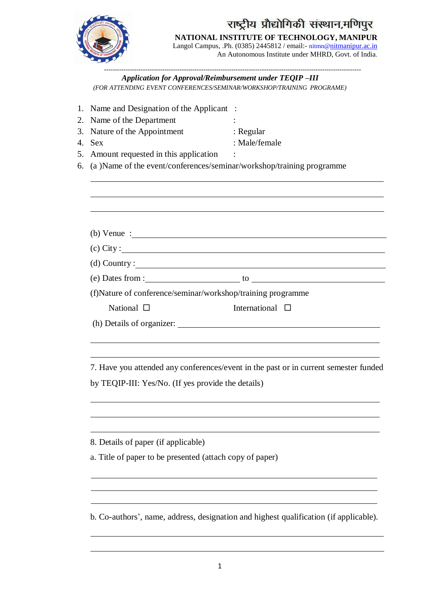

# राष्ट्रीय प्रौद्योगिकी संस्थान,मणिपुर

**NATIONAL INSTITUTE OF TECHNOLOGY, MANIPUR**

Langol Campus, .Ph. (0385) 2445812 / email:- [nitmn@](mailto:nitmn@)nitmanipur.ac.in An Autonomous Institute under MHRD, Govt. of India.

----------------------------------------------------------------------------------------------------------------------- *Application for Approval/Reimbursement under TEQIP –III (FOR ATTENDING EVENT CONFERENCES/SEMINAR/WORKSHOP/TRAINING PROGRAME)*

| Name and Designation of the Applicant :<br>Name of the Department<br>Nature of the Appointment<br><b>Sex</b><br>Amount requested in this application<br>(a) Name of the event/conferences/seminar/workshop/training programme | : Regular<br>: Male/female                                                            |
|-------------------------------------------------------------------------------------------------------------------------------------------------------------------------------------------------------------------------------|---------------------------------------------------------------------------------------|
|                                                                                                                                                                                                                               |                                                                                       |
|                                                                                                                                                                                                                               |                                                                                       |
| (b) Venue : $\frac{1}{2}$                                                                                                                                                                                                     |                                                                                       |
| $\left( \text{c} \right)$ City :                                                                                                                                                                                              |                                                                                       |
| $(d)$ Country : $\qquad \qquad$                                                                                                                                                                                               |                                                                                       |
| (f)Nature of conference/seminar/workshop/training programme                                                                                                                                                                   |                                                                                       |
| National $\Box$                                                                                                                                                                                                               | International $\square$                                                               |
|                                                                                                                                                                                                                               |                                                                                       |
|                                                                                                                                                                                                                               | 7. Have you attended any conferences/event in the past or in current semester funded  |
| by TEQIP-III: Yes/No. (If yes provide the details)                                                                                                                                                                            |                                                                                       |
| 8. Details of paper (if applicable)                                                                                                                                                                                           |                                                                                       |
| a. Title of paper to be presented (attach copy of paper)                                                                                                                                                                      |                                                                                       |
|                                                                                                                                                                                                                               |                                                                                       |
|                                                                                                                                                                                                                               | b. Co-authors', name, address, designation and highest qualification (if applicable). |
|                                                                                                                                                                                                                               |                                                                                       |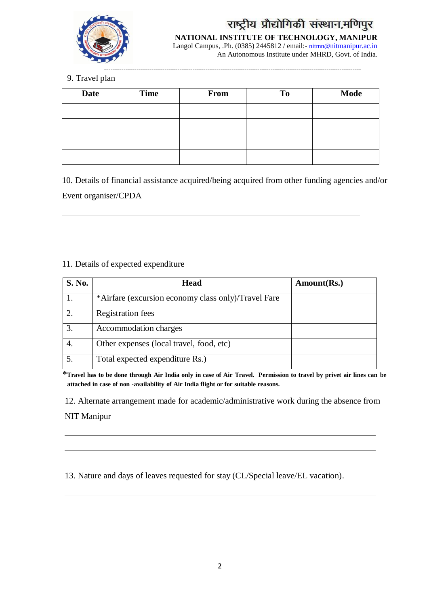

## राष्ट्रीय प्रौद्योगिकी संस्थान,मणिपुर

**NATIONAL INSTITUTE OF TECHNOLOGY, MANIPUR** Langol Campus, .Ph. (0385) 2445812 / email:- [nitmn@](mailto:nitmn@)nitmanipur.ac.in

An Autonomous Institute under MHRD, Govt. of India.

-----------------------------------------------------------------------------------------------------------------------

9. Travel plan

| <b>Date</b> | <b>Time</b> | From | To | Mode |
|-------------|-------------|------|----|------|
|             |             |      |    |      |
|             |             |      |    |      |
|             |             |      |    |      |
|             |             |      |    |      |

10. Details of financial assistance acquired/being acquired from other funding agencies and/or

Event organiser/CPDA

### 11. Details of expected expenditure

| S. No.           | <b>Head</b>                                         | Amount(Rs.) |
|------------------|-----------------------------------------------------|-------------|
|                  | *Airfare (excursion economy class only)/Travel Fare |             |
| 2.               | <b>Registration</b> fees                            |             |
| 3.               | Accommodation charges                               |             |
| 4.               | Other expenses (local travel, food, etc)            |             |
| $\overline{5}$ . | Total expected expenditure Rs.)                     |             |

\*Travel has to be done through Air India only in case of Air Travel. Permission to travel by privet air lines can be **attached in case of non -availability of Air India flight or for suitable reasons.**

12. Alternate arrangement made for academic/administrative work during the absence from

NIT Manipur

13. Nature and days of leaves requested for stay (CL/Special leave/EL vacation).